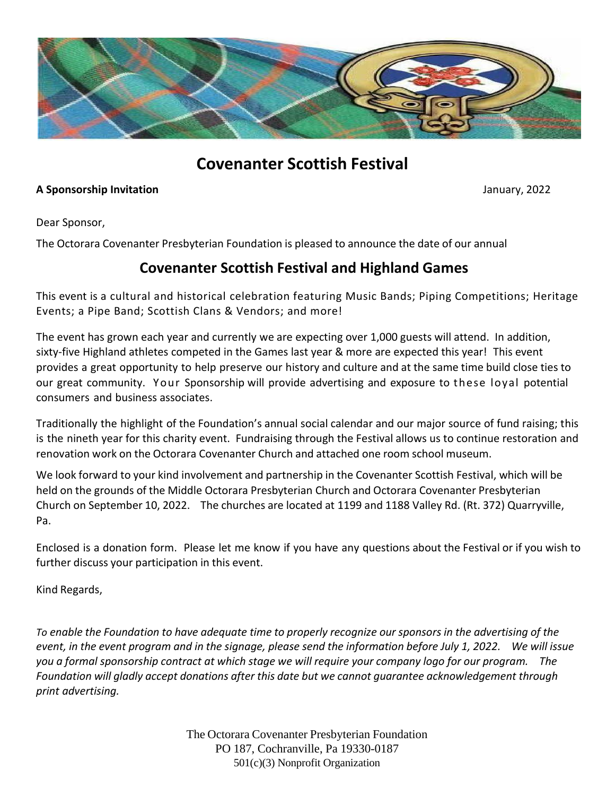

## **Covenanter Scottish Festival**

## **A Sponsorship Invitation** January, 2022

Dear Sponsor,

The Octorara Covenanter Presbyterian Foundation is pleased to announce the date of our annual

## **Covenanter Scottish Festival and Highland Games**

This event is a cultural and historical celebration featuring Music Bands; Piping Competitions; Heritage Events; a Pipe Band; Scottish Clans & Vendors; and more!

The event has grown each year and currently we are expecting over 1,000 guests will attend. In addition, sixty-five Highland athletes competed in the Games last year & more are expected this year! This event provides a great opportunity to help preserve our history and culture and at the same time build close ties to our great community. Your Sponsorship will provide advertising and exposure to these loyal potential consumers and business associates.

Traditionally the highlight of the Foundation's annual social calendar and our major source of fund raising; this is the nineth year for this charity event. Fundraising through the Festival allows us to continue restoration and renovation work on the Octorara Covenanter Church and attached one room school museum.

We look forward to your kind involvement and partnership in the Covenanter Scottish Festival, which will be held on the grounds of the Middle Octorara Presbyterian Church and Octorara Covenanter Presbyterian Church on September 10, 2022. The churches are located at 1199 and 1188 Valley Rd. (Rt. 372) Quarryville, Pa.

Enclosed is a donation form. Please let me know if you have any questions about the Festival or if you wish to further discuss your participation in this event.

Kind Regards,

To enable the Foundation to have adequate time to properly recognize our sponsors in the advertising of the event, in the event program and in the signage, please send the information before July 1, 2022. We will issue you a formal sponsorship contract at which stage we will require your company logo for our program. The *Foundation will gladly accept donations after this date but we cannot guarantee acknowledgement through print advertising.*

> The Octorara Covenanter Presbyterian Foundation PO 187, Cochranville, Pa 19330-0187 501(c)(3) Nonprofit Organization